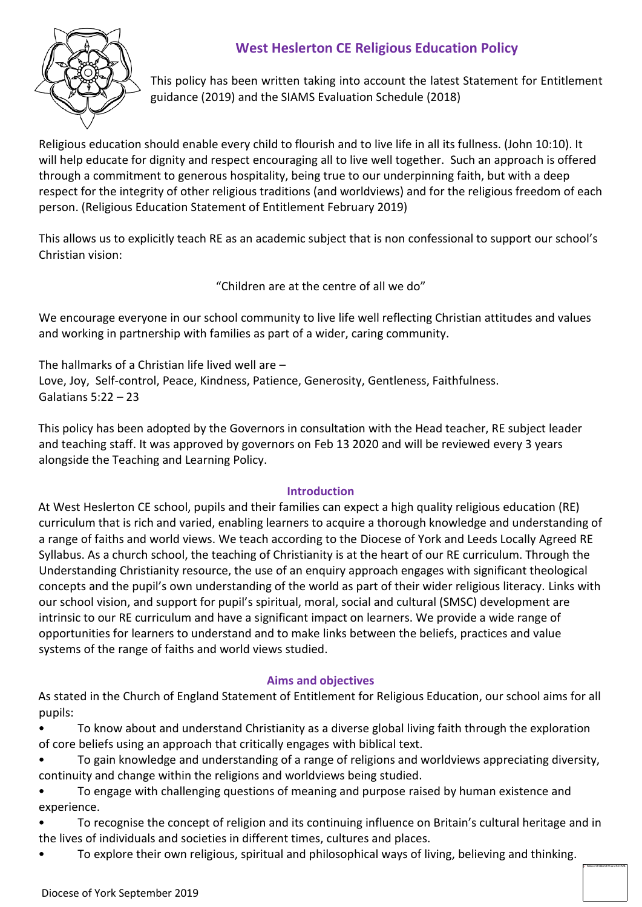# **West Heslerton CE Religious Education Policy**



This policy has been written taking into account the latest Statement for Entitlement guidance (2019) and the SIAMS Evaluation Schedule (2018)

Religious education should enable every child to flourish and to live life in all its fullness. (John 10:10). It will help educate for dignity and respect encouraging all to live well together. Such an approach is offered through a commitment to generous hospitality, being true to our underpinning faith, but with a deep respect for the integrity of other religious traditions (and worldviews) and for the religious freedom of each person. (Religious Education Statement of Entitlement February 2019)

This allows us to explicitly teach RE as an academic subject that is non confessional to support our school's Christian vision:

"Children are at the centre of all we do"

We encourage everyone in our school community to live life well reflecting Christian attitudes and values and working in partnership with families as part of a wider, caring community.

The hallmarks of a Christian life lived well are – Love, Joy, Self-control, Peace, Kindness, Patience, Generosity, Gentleness, Faithfulness. Galatians 5:22 – 23

This policy has been adopted by the Governors in consultation with the Head teacher, RE subject leader and teaching staff. It was approved by governors on Feb 13 2020 and will be reviewed every 3 years alongside the Teaching and Learning Policy.

## **Introduction**

At West Heslerton CE school, pupils and their families can expect a high quality religious education (RE) curriculum that is rich and varied, enabling learners to acquire a thorough knowledge and understanding of a range of faiths and world views. We teach according to the Diocese of York and Leeds Locally Agreed RE Syllabus. As a church school, the teaching of Christianity is at the heart of our RE curriculum. Through the Understanding Christianity resource, the use of an enquiry approach engages with significant theological concepts and the pupil's own understanding of the world as part of their wider religious literacy. Links with our school vision, and support for pupil's spiritual, moral, social and cultural (SMSC) development are intrinsic to our RE curriculum and have a significant impact on learners. We provide a wide range of opportunities for learners to understand and to make links between the beliefs, practices and value systems of the range of faiths and world views studied.

## **Aims and objectives**

As stated in the Church of England Statement of Entitlement for Religious Education, our school aims for all pupils:

• To know about and understand Christianity as a diverse global living faith through the exploration of core beliefs using an approach that critically engages with biblical text.

- To gain knowledge and understanding of a range of religions and worldviews appreciating diversity, continuity and change within the religions and worldviews being studied.
- To engage with challenging questions of meaning and purpose raised by human existence and experience.
- To recognise the concept of religion and its continuing influence on Britain's cultural heritage and in the lives of individuals and societies in different times, cultures and places.
- To explore their own religious, spiritual and philosophical ways of living, believing and thinking.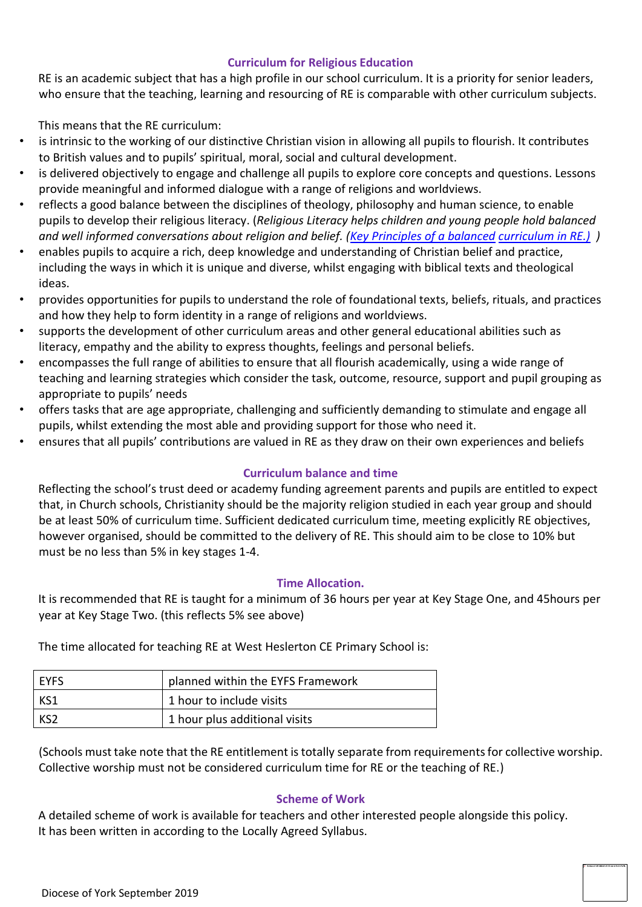### **Curriculum for Religious Education**

RE is an academic subject that has a high profile in our school curriculum. It is a priority for senior leaders, who ensure that the teaching, learning and resourcing of RE is comparable with other curriculum subjects.

This means that the RE curriculum:

- is intrinsic to the working of our distinctive Christian vision in allowing all pupils to flourish. It contributes to British values and to pupils' spiritual, moral, social and cultural development.
- is delivered objectively to engage and challenge all pupils to explore core concepts and questions. Lessons provide meaningful and informed dialogue with a range of religions and worldviews.
- reflects a good balance between the disciplines of theology, philosophy and human science, to enable pupils to develop their religious literacy. (*Religious Literacy helps children and young people hold balanced and well informed conversations about religion and belief. [\(Key Principles of a balanced](https://www.churchofengland.org/sites/default/files/2018-03/Key%20principles%20of%20a%20balanced%20curriculum%20in%20RE_0.pdf) [curriculum in RE.\)](https://www.churchofengland.org/sites/default/files/2018-03/Key%20principles%20of%20a%20balanced%20curriculum%20in%20RE_0.pdf) )*
- enables pupils to acquire a rich, deep knowledge and understanding of Christian belief and practice, including the ways in which it is unique and diverse, whilst engaging with biblical texts and theological ideas.
- provides opportunities for pupils to understand the role of foundational texts, beliefs, rituals, and practices and how they help to form identity in a range of religions and worldviews.
- supports the development of other curriculum areas and other general educational abilities such as literacy, empathy and the ability to express thoughts, feelings and personal beliefs.
- encompasses the full range of abilities to ensure that all flourish academically, using a wide range of teaching and learning strategies which consider the task, outcome, resource, support and pupil grouping as appropriate to pupils' needs
- offers tasks that are age appropriate, challenging and sufficiently demanding to stimulate and engage all pupils, whilst extending the most able and providing support for those who need it.
- ensures that all pupils' contributions are valued in RE as they draw on their own experiences and beliefs

### **Curriculum balance and time**

Reflecting the school's trust deed or academy funding agreement parents and pupils are entitled to expect that, in Church schools, Christianity should be the majority religion studied in each year group and should be at least 50% of curriculum time. Sufficient dedicated curriculum time, meeting explicitly RE objectives, however organised, should be committed to the delivery of RE. This should aim to be close to 10% but must be no less than 5% in key stages 1-4.

### **Time Allocation.**

It is recommended that RE is taught for a minimum of 36 hours per year at Key Stage One, and 45hours per year at Key Stage Two. (this reflects 5% see above)

The time allocated for teaching RE at West Heslerton CE Primary School is:

| I EYFS | planned within the EYFS Framework |
|--------|-----------------------------------|
| KS1    | 1 hour to include visits          |
| l KS2  | 1 hour plus additional visits     |

(Schools must take note that the RE entitlement is totally separate from requirements for collective worship. Collective worship must not be considered curriculum time for RE or the teaching of RE.)

### **Scheme of Work**

A detailed scheme of work is available for teachers and other interested people alongside this policy. It has been written in according to the Locally Agreed Syllabus.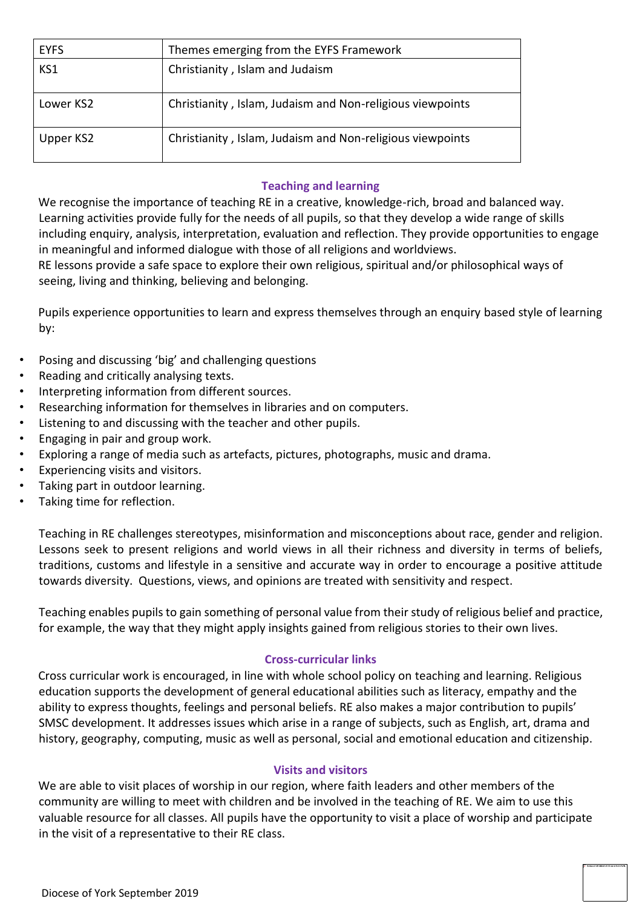| <b>EYFS</b> | Themes emerging from the EYFS Framework                   |
|-------------|-----------------------------------------------------------|
| KS1         | Christianity, Islam and Judaism                           |
| Lower KS2   | Christianity, Islam, Judaism and Non-religious viewpoints |
| Upper KS2   | Christianity, Islam, Judaism and Non-religious viewpoints |

### **Teaching and learning**

We recognise the importance of teaching RE in a creative, knowledge-rich, broad and balanced way. Learning activities provide fully for the needs of all pupils, so that they develop a wide range of skills including enquiry, analysis, interpretation, evaluation and reflection. They provide opportunities to engage in meaningful and informed dialogue with those of all religions and worldviews.

RE lessons provide a safe space to explore their own religious, spiritual and/or philosophical ways of seeing, living and thinking, believing and belonging.

Pupils experience opportunities to learn and express themselves through an enquiry based style of learning by:

- Posing and discussing 'big' and challenging questions
- Reading and critically analysing texts.
- Interpreting information from different sources.
- Researching information for themselves in libraries and on computers.
- Listening to and discussing with the teacher and other pupils.
- Engaging in pair and group work.
- Exploring a range of media such as artefacts, pictures, photographs, music and drama.
- Experiencing visits and visitors.
- Taking part in outdoor learning.
- Taking time for reflection.

Teaching in RE challenges stereotypes, misinformation and misconceptions about race, gender and religion. Lessons seek to present religions and world views in all their richness and diversity in terms of beliefs, traditions, customs and lifestyle in a sensitive and accurate way in order to encourage a positive attitude towards diversity. Questions, views, and opinions are treated with sensitivity and respect.

Teaching enables pupils to gain something of personal value from their study of religious belief and practice, for example, the way that they might apply insights gained from religious stories to their own lives.

## **Cross-curricular links**

Cross curricular work is encouraged, in line with whole school policy on teaching and learning. Religious education supports the development of general educational abilities such as literacy, empathy and the ability to express thoughts, feelings and personal beliefs. RE also makes a major contribution to pupils' SMSC development. It addresses issues which arise in a range of subjects, such as English, art, drama and history, geography, computing, music as well as personal, social and emotional education and citizenship.

### **Visits and visitors**

We are able to visit places of worship in our region, where faith leaders and other members of the community are willing to meet with children and be involved in the teaching of RE. We aim to use this valuable resource for all classes. All pupils have the opportunity to visit a place of worship and participate in the visit of a representative to their RE class.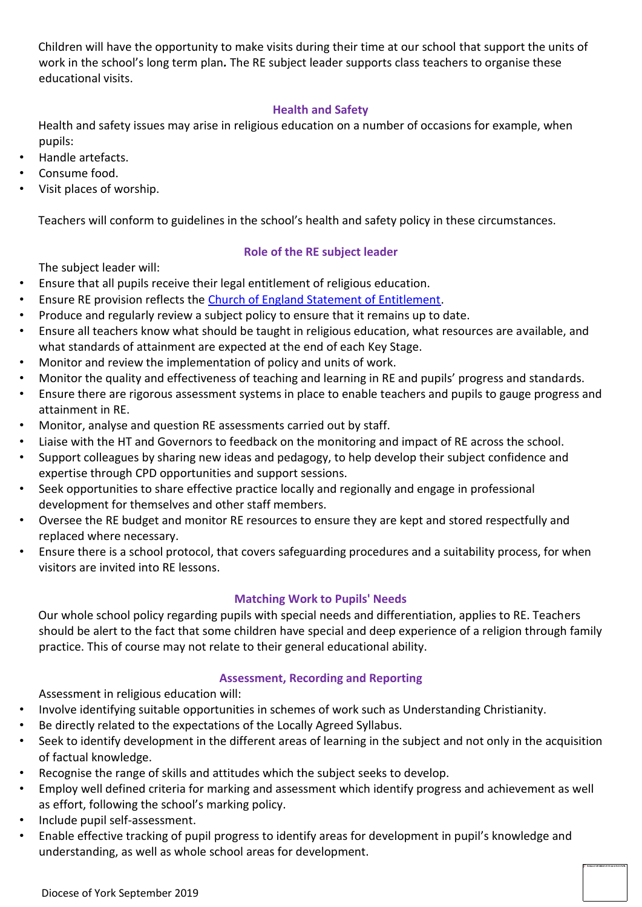Children will have the opportunity to make visits during their time at our school that support the units of work in the school's long term plan*.* The RE subject leader supports class teachers to organise these educational visits.

## **Health and Safety**

Health and safety issues may arise in religious education on a number of occasions for example, when pupils:

- Handle artefacts.
- Consume food.
- Visit places of worship.

Teachers will conform to guidelines in the school's health and safety policy in these circumstances.

### **Role of the RE subject leader**

The subject leader will:

- Ensure that all pupils receive their legal entitlement of religious education.
- Ensure RE provision reflects the Church of England Statement of Entitlement.
- Produce and regularly review a subject policy to ensure that it remains up to date.
- Ensure all teachers know what should be taught in religious education, what resources are available, and what standards of attainment are expected at the end of each Key Stage.
- Monitor and review the implementation of policy and units of work.
- Monitor the quality and effectiveness of teaching and learning in RE and pupils' progress and standards.
- Ensure there are rigorous assessment systems in place to enable teachers and pupils to gauge progress and attainment in RE.
- Monitor, analyse and question RE assessments carried out by staff.
- Liaise with the HT and Governors to feedback on the monitoring and impact of RE across the school.
- Support colleagues by sharing new ideas and pedagogy, to help develop their subject confidence and expertise through CPD opportunities and support sessions.
- Seek opportunities to share effective practice locally and regionally and engage in professional development for themselves and other staff members.
- Oversee the RE budget and monitor RE resources to ensure they are kept and stored respectfully and replaced where necessary.
- Ensure there is a school protocol, that covers safeguarding procedures and a suitability process, for when visitors are invited into RE lessons.

### **Matching Work to Pupils' Needs**

Our whole school policy regarding pupils with special needs and differentiation, applies to RE. Teachers should be alert to the fact that some children have special and deep experience of a religion through family practice. This of course may not relate to their general educational ability.

### **Assessment, Recording and Reporting**

Assessment in religious education will:

- Involve identifying suitable opportunities in schemes of work such as Understanding Christianity.
- Be directly related to the expectations of the Locally Agreed Syllabus.
- Seek to identify development in the different areas of learning in the subject and not only in the acquisition of factual knowledge.
- Recognise the range of skills and attitudes which the subject seeks to develop.
- Employ well defined criteria for marking and assessment which identify progress and achievement as well as effort, following the school's marking policy.
- Include pupil self-assessment.
- Enable effective tracking of pupil progress to identify areas for development in pupil's knowledge and understanding, as well as whole school areas for development.